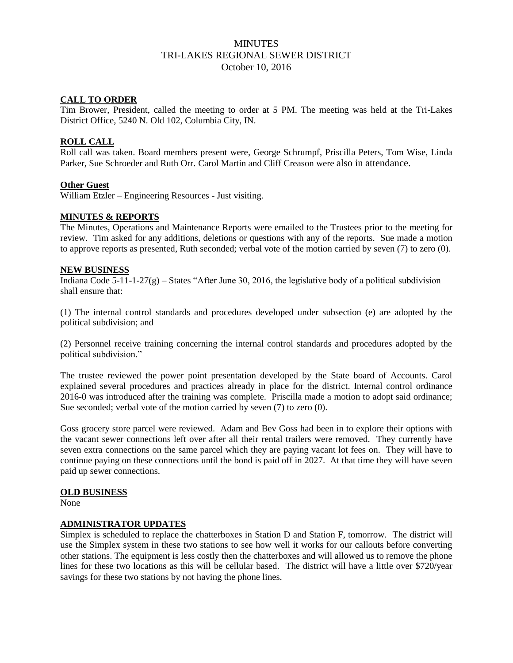# **MINUTES** TRI-LAKES REGIONAL SEWER DISTRICT October 10, 2016

#### **CALL TO ORDER**

Tim Brower, President, called the meeting to order at 5 PM. The meeting was held at the Tri-Lakes District Office, 5240 N. Old 102, Columbia City, IN.

#### **ROLL CALL**

Roll call was taken. Board members present were, George Schrumpf, Priscilla Peters, Tom Wise, Linda Parker, Sue Schroeder and Ruth Orr. Carol Martin and Cliff Creason were also in attendance.

#### **Other Guest**

William Etzler – Engineering Resources - Just visiting.

### **MINUTES & REPORTS**

The Minutes, Operations and Maintenance Reports were emailed to the Trustees prior to the meeting for review. Tim asked for any additions, deletions or questions with any of the reports. Sue made a motion to approve reports as presented, Ruth seconded; verbal vote of the motion carried by seven (7) to zero (0).

#### **NEW BUSINESS**

Indiana Code 5-11-1-27(g) – States "After June 30, 2016, the legislative body of a political subdivision shall ensure that:

(1) The internal control standards and procedures developed under subsection (e) are adopted by the political subdivision; and

(2) Personnel receive training concerning the internal control standards and procedures adopted by the political subdivision."

The trustee reviewed the power point presentation developed by the State board of Accounts. Carol explained several procedures and practices already in place for the district. Internal control ordinance 2016-0 was introduced after the training was complete. Priscilla made a motion to adopt said ordinance; Sue seconded; verbal vote of the motion carried by seven (7) to zero (0).

Goss grocery store parcel were reviewed. Adam and Bev Goss had been in to explore their options with the vacant sewer connections left over after all their rental trailers were removed. They currently have seven extra connections on the same parcel which they are paying vacant lot fees on. They will have to continue paying on these connections until the bond is paid off in 2027. At that time they will have seven paid up sewer connections.

#### **OLD BUSINESS**

None

#### **ADMINISTRATOR UPDATES**

Simplex is scheduled to replace the chatterboxes in Station D and Station F, tomorrow. The district will use the Simplex system in these two stations to see how well it works for our callouts before converting other stations. The equipment is less costly then the chatterboxes and will allowed us to remove the phone lines for these two locations as this will be cellular based. The district will have a little over \$720/year savings for these two stations by not having the phone lines.